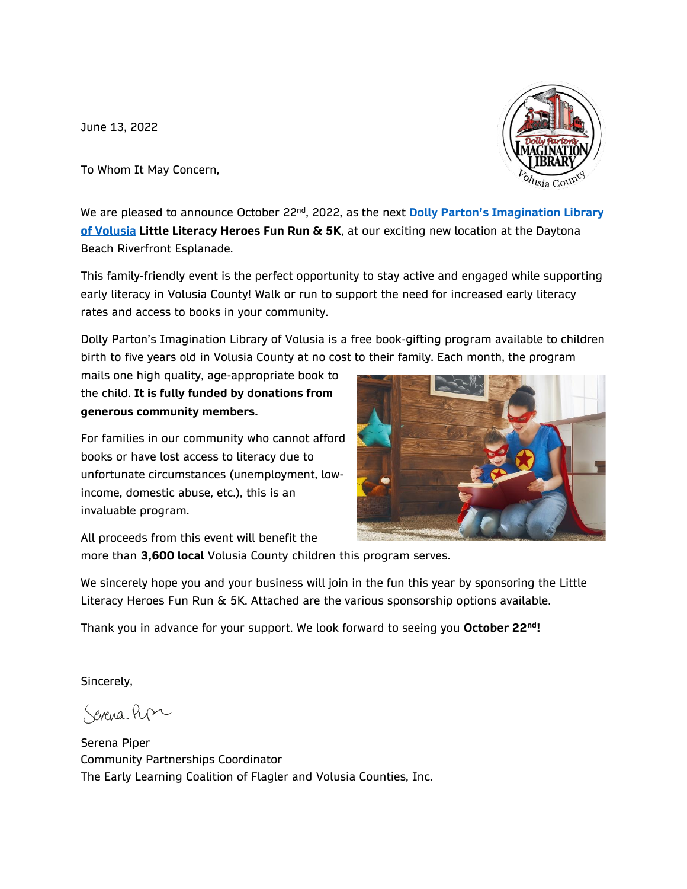June 13, 2022

To Whom It May Concern,

We are pleased to announce October 22<sup>nd</sup>, 2022, as the next <mark>Dolly Parton's Imagination Library</mark> **[of Volusia](https://elcfv.org/dolly-partons-imagination-library/) Little Literacy Heroes Fun Run & 5K**, at our exciting new location at the Daytona Beach Riverfront Esplanade.

This family-friendly event is the perfect opportunity to stay active and engaged while supporting early literacy in Volusia County! Walk or run to support the need for increased early literacy rates and access to books in your community.

Dolly Parton's Imagination Library of Volusia is a free book-gifting program available to children birth to five years old in Volusia County at no cost to their family. Each month, the program

mails one high quality, age-appropriate book to the child. **It is fully funded by donations from generous community members.**

For families in our community who cannot afford books or have lost access to literacy due to unfortunate circumstances (unemployment, lowincome, domestic abuse, etc.), this is an invaluable program.

All proceeds from this event will benefit the

more than **3,600 local** Volusia County children this program serves.

We sincerely hope you and your business will join in the fun this year by sponsoring the Little Literacy Heroes Fun Run & 5K. Attached are the various sponsorship options available.

Thank you in advance for your support. We look forward to seeing you **October 22nd!**

Sincerely,

Sevena Pope

Serena Piper Community Partnerships Coordinator The Early Learning Coalition of Flagler and Volusia Counties, Inc.



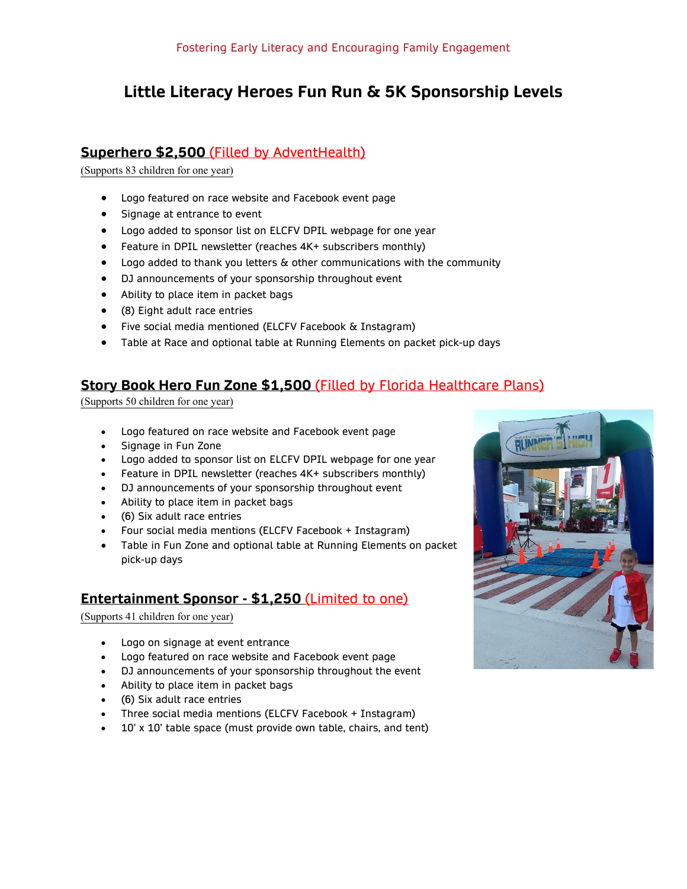# **Little Literacy Heroes Fun Run & 5K Sponsorship Levels**

## **Superhero \$2,500** (Filled by AdventHealth)

(Supports 83 children for one year)

- Logo featured on race website and Facebook event page
- Signage at entrance to event
- Logo added to sponsor list on ELCFV DPIL webpage for one year
- Feature in DPIL newsletter (reaches 4K+ subscribers monthly)
- Logo added to thank you letters & other communications with the community
- DJ announcements of your sponsorship throughout event
- Ability to place item in packet bags
- (8) Eight adult race entries
- Five social media mentioned (ELCFV Facebook & Instagram)
- Table at Race and optional table at Running Elements on packet pick-up days

#### **Story Book Hero Fun Zone \$1,500** (Filled by Florida Healthcare Plans)

(Supports 50 children for one year)

- Logo featured on race website and Facebook event page
- Signage in Fun Zone
- Logo added to sponsor list on ELCFV DPIL webpage for one year
- Feature in DPIL newsletter (reaches 4K+ subscribers monthly)
- DJ announcements of your sponsorship throughout event
- Ability to place item in packet bags
- (6) Six adult race entries
- Four social media mentions (ELCFV Facebook + Instagram)
- Table in Fun Zone and optional table at Running Elements on packet pick-up days

#### **Entertainment Sponsor - \$1,250** (Limited to one)

(Supports 41 children for one year)

- Logo on signage at event entrance
- Logo featured on race website and Facebook event page
- DJ announcements of your sponsorship throughout the event
- Ability to place item in packet bags
- (6) Six adult race entries
- Three social media mentions (ELCFV Facebook + Instagram)
- 10' x 10' table space (must provide own table, chairs, and tent)

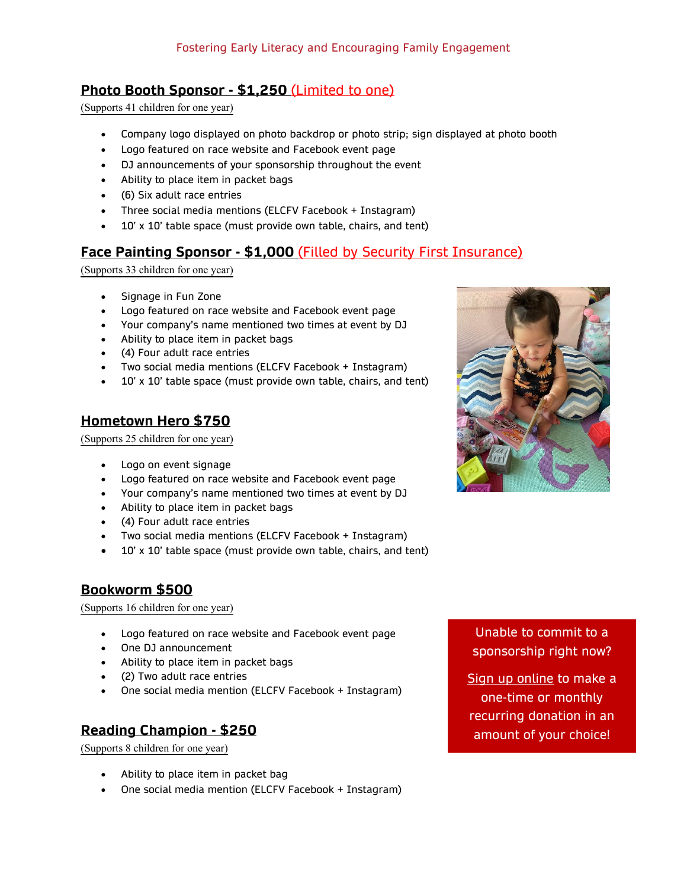#### **Photo Booth Sponsor - \$1,250** (Limited to one)

(Supports 41 children for one year)

- Company logo displayed on photo backdrop or photo strip; sign displayed at photo booth
- Logo featured on race website and Facebook event page
- DJ announcements of your sponsorship throughout the event
- Ability to place item in packet bags
- (6) Six adult race entries
- Three social media mentions (ELCFV Facebook + Instagram)
- 10' x 10' table space (must provide own table, chairs, and tent)

#### **Face Painting Sponsor - \$1,000** (Filled by Security First Insurance)

(Supports 33 children for one year)

- Signage in Fun Zone
- Logo featured on race website and Facebook event page
- Your company's name mentioned two times at event by DJ
- Ability to place item in packet bags
- (4) Four adult race entries
- Two social media mentions (ELCFV Facebook + Instagram)
- 10' x 10' table space (must provide own table, chairs, and tent)

#### **Hometown Hero \$750**

(Supports 25 children for one year)

- Logo on event signage
- Logo featured on race website and Facebook event page
- Your company's name mentioned two times at event by DJ
- Ability to place item in packet bags
- (4) Four adult race entries
- Two social media mentions (ELCFV Facebook + Instagram)
- 10' x 10' table space (must provide own table, chairs, and tent)

#### **Bookworm \$500**

(Supports 16 children for one year)

- Logo featured on race website and Facebook event page
- One DJ announcement
- Ability to place item in packet bags
- (2) Two adult race entries
- One social media mention (ELCFV Facebook + Instagram)

## **Reading Champion - \$250**

(Supports 8 children for one year)

- Ability to place item in packet bag
- One social media mention (ELCFV Facebook + Instagram)

Unable to commit to a sponsorship right now?

[Sign up online](https://www.paypal.com/donate/?hosted_button_id=4BYDQSKYJHDTJ) to make a one-time or monthly recurring donation in an amount of your choice!